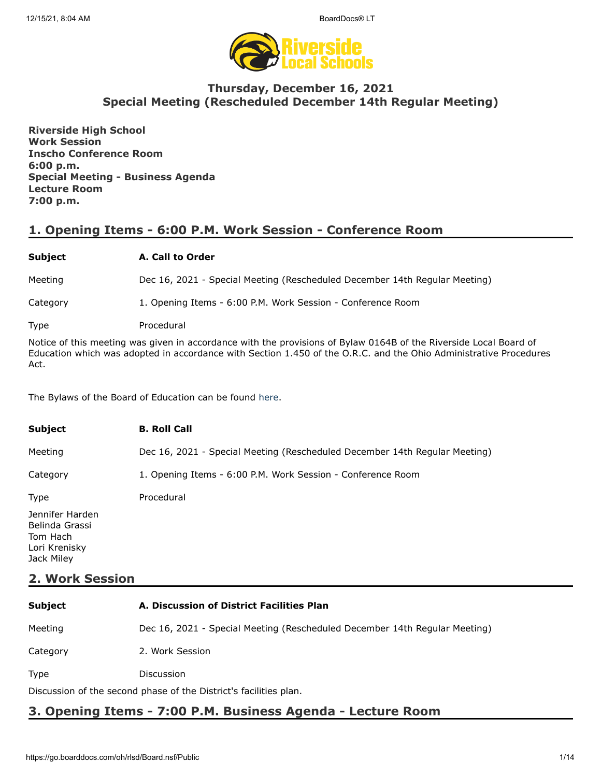

# **Thursday, December 16, 2021 Special Meeting (Rescheduled December 14th Regular Meeting)**

**Riverside High School Work Session Inscho Conference Room 6:00 p.m. Special Meeting - Business Agenda Lecture Room 7:00 p.m.**

# **1. Opening Items - 6:00 P.M. Work Session - Conference Room**

## **Subject A. Call to Order**

Meeting Dec 16, 2021 - Special Meeting (Rescheduled December 14th Regular Meeting)

Category 1. Opening Items - 6:00 P.M. Work Session - Conference Room

Type Procedural

Notice of this meeting was given in accordance with the provisions of Bylaw 0164B of the Riverside Local Board of Education which was adopted in accordance with Section 1.450 of the O.R.C. and the Ohio Administrative Procedures Act.

The Bylaws of the Board of Education can be found [here.](http://www.neola.com/riverside(lake)-oh/)

| <b>Subject</b>                                                               | <b>B. Roll Call</b>                                                        |
|------------------------------------------------------------------------------|----------------------------------------------------------------------------|
| Meeting                                                                      | Dec 16, 2021 - Special Meeting (Rescheduled December 14th Regular Meeting) |
| Category                                                                     | 1. Opening Items - 6:00 P.M. Work Session - Conference Room                |
| <b>Type</b>                                                                  | Procedural                                                                 |
| Jennifer Harden<br>Belinda Grassi<br>Tom Hach<br>Lori Krenisky<br>Jack Miley |                                                                            |

# **2. Work Session**

| <b>Subject</b>                                                    | A. Discussion of District Facilities Plan                                  |  |
|-------------------------------------------------------------------|----------------------------------------------------------------------------|--|
| Meeting                                                           | Dec 16, 2021 - Special Meeting (Rescheduled December 14th Regular Meeting) |  |
| Category                                                          | 2. Work Session                                                            |  |
| <b>Type</b>                                                       | <b>Discussion</b>                                                          |  |
| Discussion of the second phase of the District's facilities plan. |                                                                            |  |

# **3. Opening Items - 7:00 P.M. Business Agenda - Lecture Room**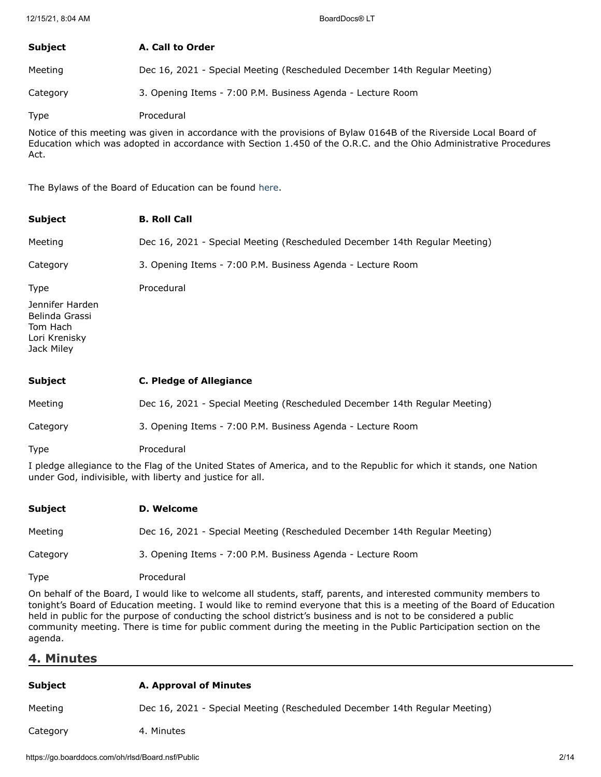| <b>Subject</b> | A. Call to Order                                                           |
|----------------|----------------------------------------------------------------------------|
| Meeting        | Dec 16, 2021 - Special Meeting (Rescheduled December 14th Regular Meeting) |
| Category       | 3. Opening Items - 7:00 P.M. Business Agenda - Lecture Room                |
| Type           | Procedural                                                                 |

Notice of this meeting was given in accordance with the provisions of Bylaw 0164B of the Riverside Local Board of Education which was adopted in accordance with Section 1.450 of the O.R.C. and the Ohio Administrative Procedures Act.

The Bylaws of the Board of Education can be found [here.](http://www.neola.com/riverside(lake)-oh/)

| <b>Subject</b>                                                               | <b>B. Roll Call</b>                                                        |
|------------------------------------------------------------------------------|----------------------------------------------------------------------------|
| Meeting                                                                      | Dec 16, 2021 - Special Meeting (Rescheduled December 14th Regular Meeting) |
| Category                                                                     | 3. Opening Items - 7:00 P.M. Business Agenda - Lecture Room                |
| Type                                                                         | Procedural                                                                 |
| Jennifer Harden<br>Belinda Grassi<br>Tom Hach<br>Lori Krenisky<br>Jack Miley |                                                                            |
| <b>Subject</b>                                                               | <b>C. Pledge of Allegiance</b>                                             |
| Meeting                                                                      | Dec 16, 2021 - Special Meeting (Rescheduled December 14th Regular Meeting) |
| Category                                                                     | 3. Opening Items - 7:00 P.M. Business Agenda - Lecture Room                |
| Type                                                                         | Procedural                                                                 |

I pledge allegiance to the Flag of the United States of America, and to the Republic for which it stands, one Nation under God, indivisible, with liberty and justice for all.

| Subject  | D. Welcome                                                                 |
|----------|----------------------------------------------------------------------------|
| Meeting  | Dec 16, 2021 - Special Meeting (Rescheduled December 14th Regular Meeting) |
| Category | 3. Opening Items - 7:00 P.M. Business Agenda - Lecture Room                |
| Type     | Procedural                                                                 |

On behalf of the Board, I would like to welcome all students, staff, parents, and interested community members to tonight's Board of Education meeting. I would like to remind everyone that this is a meeting of the Board of Education held in public for the purpose of conducting the school district's business and is not to be considered a public community meeting. There is time for public comment during the meeting in the Public Participation section on the agenda.

## **4. Minutes**

| <b>Subject</b> | A. Approval of Minutes                                                     |
|----------------|----------------------------------------------------------------------------|
| Meeting        | Dec 16, 2021 - Special Meeting (Rescheduled December 14th Regular Meeting) |
| Category       | 4. Minutes                                                                 |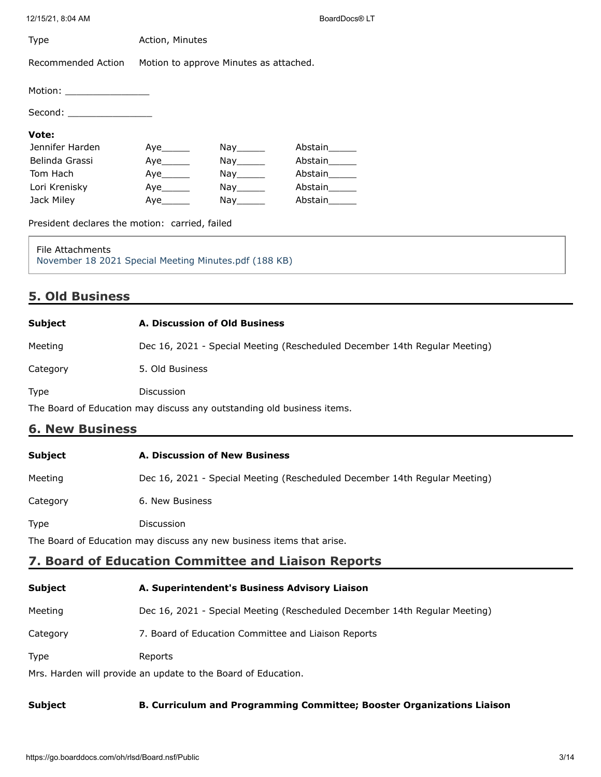| 12/15/21, 8:04 AM                                                                |                   |                                        | BoardDocs® LT                                                              |
|----------------------------------------------------------------------------------|-------------------|----------------------------------------|----------------------------------------------------------------------------|
| Type                                                                             | Action, Minutes   |                                        |                                                                            |
| Recommended Action                                                               |                   | Motion to approve Minutes as attached. |                                                                            |
| Motion: __________________                                                       |                   |                                        |                                                                            |
| Second: ___________________                                                      |                   |                                        |                                                                            |
| Vote:                                                                            |                   |                                        |                                                                            |
| Jennifer Harden                                                                  |                   | Nay_______                             | Abstain______                                                              |
| Belinda Grassi                                                                   |                   |                                        | Abstain_____                                                               |
| Tom Hach                                                                         |                   | $\mathsf{Nay}$ <sub>_________</sub>    | Abstain______                                                              |
| Lori Krenisky                                                                    |                   | $\mathsf{Nay}$ <sub>________</sub>     | Abstain_____                                                               |
| Jack Miley                                                                       | Aye_______        |                                        | Abstain______                                                              |
| President declares the motion: carried, failed                                   |                   |                                        |                                                                            |
| <b>File Attachments</b><br>November 18 2021 Special Meeting Minutes.pdf (188 KB) |                   |                                        |                                                                            |
| <b>5. Old Business</b>                                                           |                   |                                        |                                                                            |
| <b>Subject</b>                                                                   |                   | A. Discussion of Old Business          |                                                                            |
| Meeting                                                                          |                   |                                        | Dec 16, 2021 - Special Meeting (Rescheduled December 14th Regular Meeting) |
| Category                                                                         | 5. Old Business   |                                        |                                                                            |
| Type                                                                             | <b>Discussion</b> |                                        |                                                                            |
| The Board of Education may discuss any outstanding old business items.           |                   |                                        |                                                                            |
| <b>6. New Business</b>                                                           |                   |                                        |                                                                            |
| <b>Subject</b>                                                                   |                   | A. Discussion of New Business          |                                                                            |
| Meeting                                                                          |                   |                                        | Dec 16, 2021 - Special Meeting (Rescheduled December 14th Regular Meeting) |
| Category                                                                         | 6. New Business   |                                        |                                                                            |
| <b>Type</b>                                                                      | Discussion        |                                        |                                                                            |
| The Board of Education may discuss any new business items that arise.            |                   |                                        |                                                                            |

# **7. Board of Education Committee and Liaison Reports**

| <b>Subject</b>                                                | A. Superintendent's Business Advisory Liaison                              |  |
|---------------------------------------------------------------|----------------------------------------------------------------------------|--|
| Meeting                                                       | Dec 16, 2021 - Special Meeting (Rescheduled December 14th Regular Meeting) |  |
| Category                                                      | 7. Board of Education Committee and Liaison Reports                        |  |
| <b>Type</b>                                                   | Reports                                                                    |  |
| Mrs. Harden will provide an update to the Board of Education. |                                                                            |  |

## **Subject B. Curriculum and Programming Committee; Booster Organizations Liaison**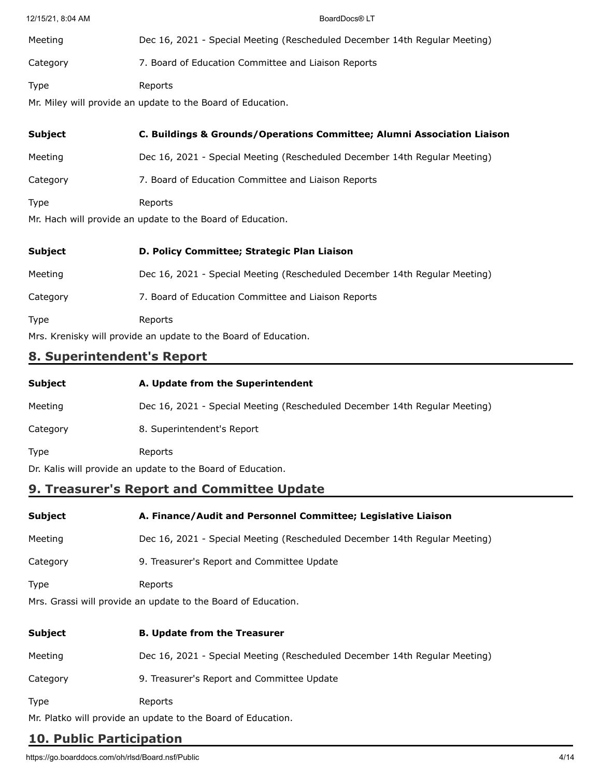| 12/15/21, 8:04 AM | BoardDocs® LT                                                              |
|-------------------|----------------------------------------------------------------------------|
| Meeting           | Dec 16, 2021 - Special Meeting (Rescheduled December 14th Regular Meeting) |
| Category          | 7. Board of Education Committee and Liaison Reports                        |
| <b>Type</b>       | Reports<br>Mr. Miley will provide an update to the Board of Education.     |
| <b>Subject</b>    | C. Buildings & Grounds/Operations Committee; Alumni Association Liaison    |
| Meeting           | Dec 16, 2021 - Special Meeting (Rescheduled December 14th Regular Meeting) |
| Category          | 7. Board of Education Committee and Liaison Reports                        |
| <b>Type</b>       | Reports                                                                    |

Mr. Hach will provide an update to the Board of Education.

| <b>Subject</b>                                                  | D. Policy Committee; Strategic Plan Liaison                                |
|-----------------------------------------------------------------|----------------------------------------------------------------------------|
| Meeting                                                         | Dec 16, 2021 - Special Meeting (Rescheduled December 14th Regular Meeting) |
| Category                                                        | 7. Board of Education Committee and Liaison Reports                        |
| <b>Type</b>                                                     | Reports                                                                    |
| Mrs. Krenisky will provide an update to the Board of Education. |                                                                            |

# **8. Superintendent's Report**

| Subject                                                     | A. Update from the Superintendent                                          |
|-------------------------------------------------------------|----------------------------------------------------------------------------|
| Meeting                                                     | Dec 16, 2021 - Special Meeting (Rescheduled December 14th Regular Meeting) |
| Category                                                    | 8. Superintendent's Report                                                 |
| Type                                                        | Reports                                                                    |
| Dr. Kalis will provide an update to the Board of Education. |                                                                            |

# **9. Treasurer's Report and Committee Update**

| Subject                                                       | A. Finance/Audit and Personnel Committee; Legislative Liaison              |  |
|---------------------------------------------------------------|----------------------------------------------------------------------------|--|
| Meeting                                                       | Dec 16, 2021 - Special Meeting (Rescheduled December 14th Regular Meeting) |  |
| Category                                                      | 9. Treasurer's Report and Committee Update                                 |  |
| Type                                                          | Reports                                                                    |  |
| Mrs. Grassi will provide an update to the Board of Education. |                                                                            |  |
| Subject                                                       | <b>B. Update from the Treasurer</b>                                        |  |
| Meeting                                                       | Dec 16, 2021 - Special Meeting (Rescheduled December 14th Regular Meeting) |  |
| Category                                                      | 9. Treasurer's Report and Committee Update                                 |  |

Type Reports

Mr. Platko will provide an update to the Board of Education.

# **10. Public Participation**

https://go.boarddocs.com/oh/rlsd/Board.nsf/Public 4/14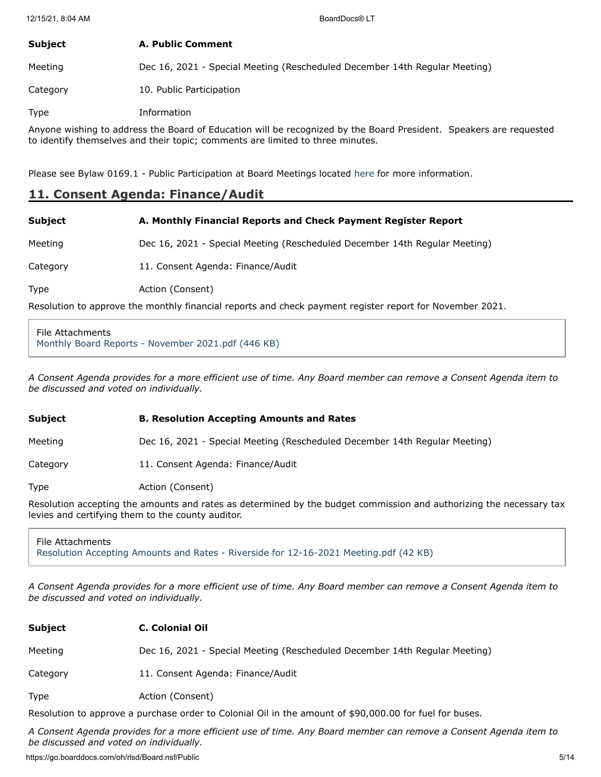| Subject  | A. Public Comment                                                          |
|----------|----------------------------------------------------------------------------|
| Meeting  | Dec 16, 2021 - Special Meeting (Rescheduled December 14th Regular Meeting) |
| Category | 10. Public Participation                                                   |

Type Information

Anyone wishing to address the Board of Education will be recognized by the Board President. Speakers are requested to identify themselves and their topic; comments are limited to three minutes.

Please see Bylaw 0169.1 - Public Participation at Board Meetings located [here](http://www.neola.com/riverside(lake)-oh/) for more information.

## **11. Consent Agenda: Finance/Audit**

| <b>Subject</b> | A. Monthly Financial Reports and Check Payment Register Report             |
|----------------|----------------------------------------------------------------------------|
| Meeting        | Dec 16, 2021 - Special Meeting (Rescheduled December 14th Regular Meeting) |
| Category       | 11. Consent Agenda: Finance/Audit                                          |
| Type           | Action (Consent)                                                           |

Resolution to approve the monthly financial reports and check payment register report for November 2021.

File Attachments [Monthly Board Reports - November 2021.pdf \(446 KB\)](https://go.boarddocs.com/oh/rlsd/Board.nsf/files/C9DG7R427522/$file/Monthly%20Board%20Reports%20-%20November%202021.pdf)

*A Consent Agenda provides for a more efficient use of time. Any Board member can remove a Consent Agenda item to be discussed and voted on individually.*

#### **Subject B. Resolution Accepting Amounts and Rates**

Meeting Dec 16, 2021 - Special Meeting (Rescheduled December 14th Regular Meeting)

Category 11. Consent Agenda: Finance/Audit

Type **Action** (Consent)

Resolution accepting the amounts and rates as determined by the budget commission and authorizing the necessary tax levies and certifying them to the county auditor.

File Attachments [Resolution Accepting Amounts and Rates - Riverside for 12-16-2021 Meeting.pdf \(42 KB\)](https://go.boarddocs.com/oh/rlsd/Board.nsf/files/C9G2KP029513/$file/Resolution%20Accepting%20Amounts%20and%20Rates%20-%20Riverside%20for%2012-16-2021%20Meeting.pdf)

*A Consent Agenda provides for a more efficient use of time. Any Board member can remove a Consent Agenda item to be discussed and voted on individually.*

| <b>Subject</b> | <b>C. Colonial Oil</b>                                                                                    |
|----------------|-----------------------------------------------------------------------------------------------------------|
| Meeting        | Dec 16, 2021 - Special Meeting (Rescheduled December 14th Regular Meeting)                                |
| Category       | 11. Consent Agenda: Finance/Audit                                                                         |
| Type           | Action (Consent)                                                                                          |
|                | Bosolution to approve a purchase ender to Colonial Oil in the amount of $f(0,000,000)$ for fuel for buses |

Resolution to approve a purchase order to Colonial Oil in the amount of \$90,000.00 for fuel for buses.

*A Consent Agenda provides for a more efficient use of time. Any Board member can remove a Consent Agenda item to be discussed and voted on individually.*

https://go.boarddocs.com/oh/rlsd/Board.nsf/Public 5/14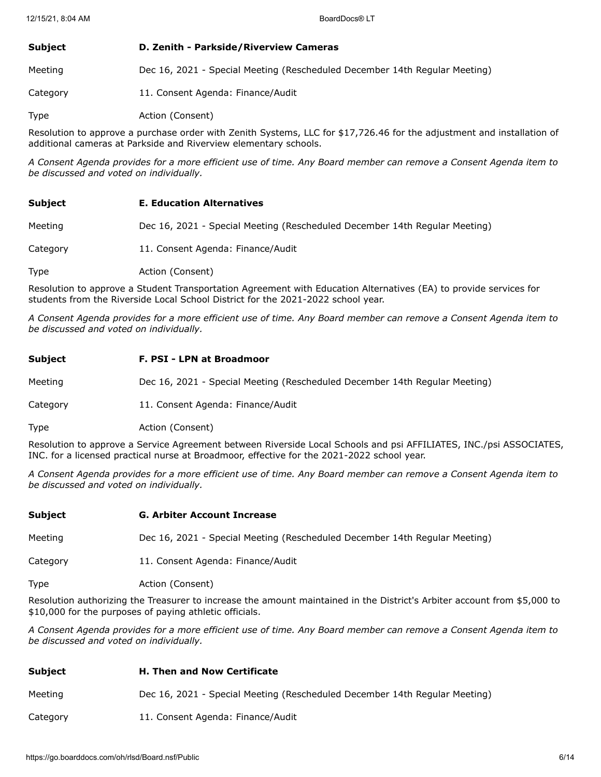| <b>Subject</b> | D. Zenith - Parkside/Riverview Cameras                                     |
|----------------|----------------------------------------------------------------------------|
| Meeting        | Dec 16, 2021 - Special Meeting (Rescheduled December 14th Regular Meeting) |
| Category       | 11. Consent Agenda: Finance/Audit                                          |

Type **Action** (Consent)

Resolution to approve a purchase order with Zenith Systems, LLC for \$17,726.46 for the adjustment and installation of additional cameras at Parkside and Riverview elementary schools.

*A Consent Agenda provides for a more efficient use of time. Any Board member can remove a Consent Agenda item to be discussed and voted on individually.*

#### **Subject E. Education Alternatives**

Meeting Dec 16, 2021 - Special Meeting (Rescheduled December 14th Regular Meeting)

Category 11. Consent Agenda: Finance/Audit

Type **Action** (Consent)

Resolution to approve a Student Transportation Agreement with Education Alternatives (EA) to provide services for students from the Riverside Local School District for the 2021-2022 school year.

*A Consent Agenda provides for a more efficient use of time. Any Board member can remove a Consent Agenda item to be discussed and voted on individually.*

| Subject  | F. PSI - LPN at Broadmoor                                                  |
|----------|----------------------------------------------------------------------------|
| Meeting  | Dec 16, 2021 - Special Meeting (Rescheduled December 14th Regular Meeting) |
| Category | 11. Consent Agenda: Finance/Audit                                          |
| Type     | Action (Consent)                                                           |

Resolution to approve a Service Agreement between Riverside Local Schools and psi AFFILIATES, INC./psi ASSOCIATES, INC. for a licensed practical nurse at Broadmoor, effective for the 2021-2022 school year.

*A Consent Agenda provides for a more efficient use of time. Any Board member can remove a Consent Agenda item to be discussed and voted on individually.*

Meeting Dec 16, 2021 - Special Meeting (Rescheduled December 14th Regular Meeting)

Category 11. Consent Agenda: Finance/Audit

Type **Action** (Consent)

Resolution authorizing the Treasurer to increase the amount maintained in the District's Arbiter account from \$5,000 to \$10,000 for the purposes of paying athletic officials.

*A Consent Agenda provides for a more efficient use of time. Any Board member can remove a Consent Agenda item to be discussed and voted on individually.*

| <b>Subject</b> | <b>H. Then and Now Certificate</b>                                         |
|----------------|----------------------------------------------------------------------------|
| Meeting        | Dec 16, 2021 - Special Meeting (Rescheduled December 14th Regular Meeting) |
| Category       | 11. Consent Agenda: Finance/Audit                                          |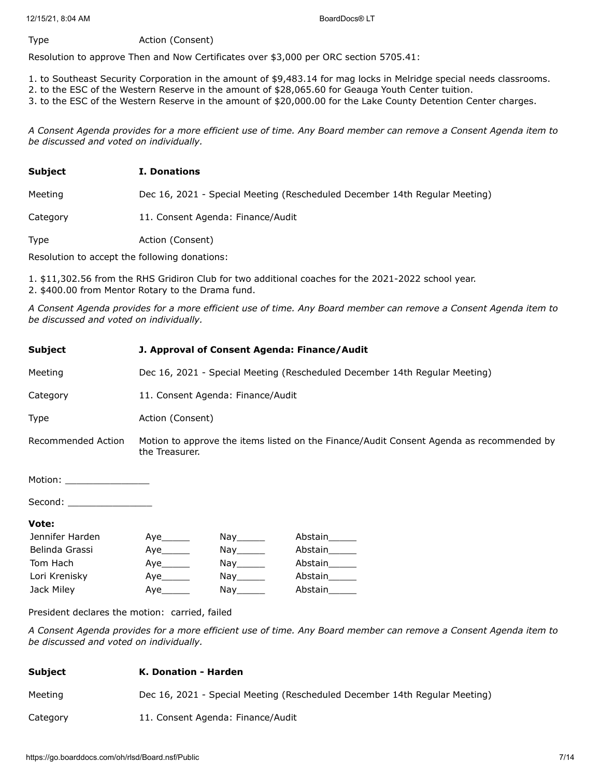#### Type **Action** (Consent)

Resolution to approve Then and Now Certificates over \$3,000 per ORC section 5705.41:

- 1. to Southeast Security Corporation in the amount of \$9,483.14 for mag locks in Melridge special needs classrooms.
- 2. to the ESC of the Western Reserve in the amount of \$28,065.60 for Geauga Youth Center tuition.
- 3. to the ESC of the Western Reserve in the amount of \$20,000.00 for the Lake County Detention Center charges.

*A Consent Agenda provides for a more efficient use of time. Any Board member can remove a Consent Agenda item to be discussed and voted on individually.*

| <b>Subject</b> | <b>I. Donations</b>                                                        |
|----------------|----------------------------------------------------------------------------|
| Meeting        | Dec 16, 2021 - Special Meeting (Rescheduled December 14th Regular Meeting) |
| Category       | 11. Consent Agenda: Finance/Audit                                          |

Type **Action** (Consent)

Resolution to accept the following donations:

1. \$11,302.56 from the RHS Gridiron Club for two additional coaches for the 2021-2022 school year. 2. \$400.00 from Mentor Rotary to the Drama fund.

*A Consent Agenda provides for a more efficient use of time. Any Board member can remove a Consent Agenda item to be discussed and voted on individually.*

| <b>Subject</b>             | J. Approval of Consent Agenda: Finance/Audit                                                               |                                    |         |  |
|----------------------------|------------------------------------------------------------------------------------------------------------|------------------------------------|---------|--|
| Meeting                    | Dec 16, 2021 - Special Meeting (Rescheduled December 14th Regular Meeting)                                 |                                    |         |  |
| Category                   |                                                                                                            | 11. Consent Agenda: Finance/Audit  |         |  |
| Type                       |                                                                                                            | Action (Consent)                   |         |  |
| Recommended Action         | Motion to approve the items listed on the Finance/Audit Consent Agenda as recommended by<br>the Treasurer. |                                    |         |  |
| Motion: __________________ |                                                                                                            |                                    |         |  |
| Second: _________________  |                                                                                                            |                                    |         |  |
| Vote:                      |                                                                                                            |                                    |         |  |
| Jennifer Harden            | Aye                                                                                                        | Nay_______                         | Abstain |  |
| Belinda Grassi             | Aye                                                                                                        |                                    | Abstain |  |
| Tom Hach                   | Aye                                                                                                        | $\mathsf{Nay}$ <sub>________</sub> | Abstain |  |
| Lori Krenisky              | Aye________                                                                                                | $\mathsf{Nay}$ <sub>________</sub> | Abstain |  |
| Jack Miley                 | Aye                                                                                                        |                                    | Abstain |  |

President declares the motion: carried, failed

*A Consent Agenda provides for a more efficient use of time. Any Board member can remove a Consent Agenda item to be discussed and voted on individually.*

#### **Subject K. Donation - Harden**

Meeting Dec 16, 2021 - Special Meeting (Rescheduled December 14th Regular Meeting)

Category 11. Consent Agenda: Finance/Audit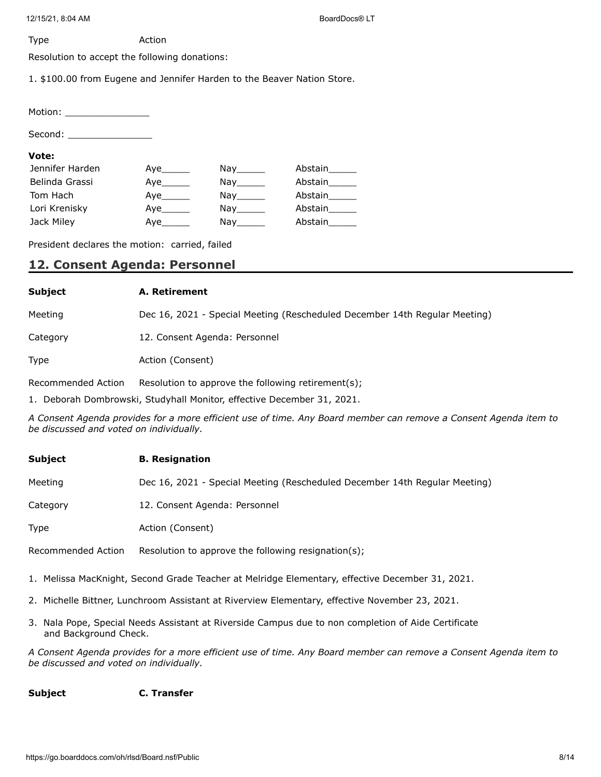12/15/21, 8:04 AM BoardDocs® LT

Type Action

Resolution to accept the following donations:

1. \$100.00 from Eugene and Jennifer Harden to the Beaver Nation Store.

Motion: \_\_\_\_\_\_\_\_\_\_\_\_\_\_\_

Second: \_\_\_\_\_\_\_\_\_\_\_\_\_\_\_

#### **Vote:**

| Jennifer Harden | Aye | Nay the control of the control of the control of the control of the control of the control of the control of th | Abstain |
|-----------------|-----|-----------------------------------------------------------------------------------------------------------------|---------|
| Belinda Grassi  |     | Nay the second the second second that the second second second the second second second second second second s  | Abstain |
| Tom Hach        | Aye | Nay the second the second second that the second second second the second second second second second second s  | Abstain |
| Lori Krenisky   | Aye | Nav l                                                                                                           | Abstain |
| Jack Miley      | Aye | Nay                                                                                                             | Abstain |

President declares the motion: carried, failed

# **12. Consent Agenda: Personnel**

## **Subject A. Retirement**

Meeting Dec 16, 2021 - Special Meeting (Rescheduled December 14th Regular Meeting)

Category 12. Consent Agenda: Personnel

Type **Action** (Consent)

Recommended Action Resolution to approve the following retirement(s);

1. Deborah Dombrowski, Studyhall Monitor, effective December 31, 2021.

*A Consent Agenda provides for a more efficient use of time. Any Board member can remove a Consent Agenda item to be discussed and voted on individually.*

| <b>Subject</b> | <b>B.</b> Resignation                                                      |
|----------------|----------------------------------------------------------------------------|
| Meeting        | Dec 16, 2021 - Special Meeting (Rescheduled December 14th Regular Meeting) |
| Category       | 12. Consent Agenda: Personnel                                              |
| <b>Type</b>    | Action (Consent)                                                           |

Recommended Action Resolution to approve the following resignation(s);

- 1. Melissa MacKnight, Second Grade Teacher at Melridge Elementary, effective December 31, 2021.
- 2. Michelle Bittner, Lunchroom Assistant at Riverview Elementary, effective November 23, 2021.
- 3. Nala Pope, Special Needs Assistant at Riverside Campus due to non completion of Aide Certificate and Background Check.

*A Consent Agenda provides for a more efficient use of time. Any Board member can remove a Consent Agenda item to be discussed and voted on individually.*

## **Subject C. Transfer**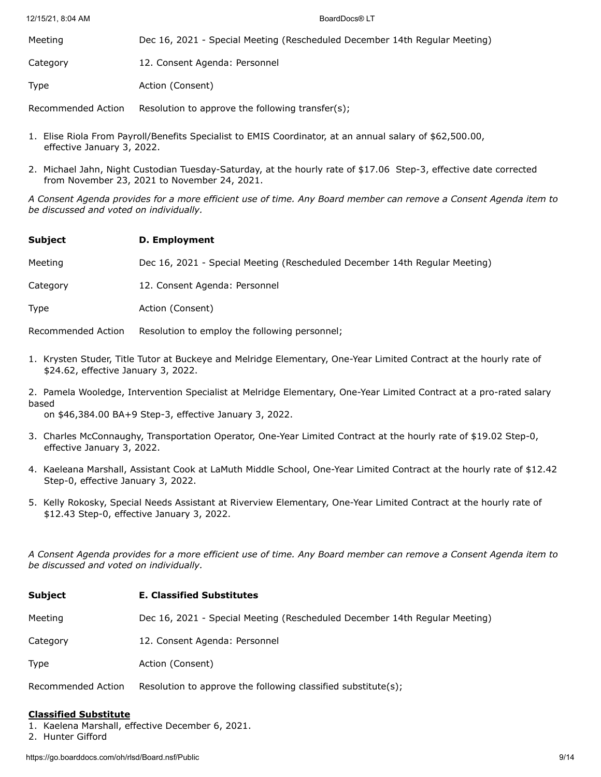| Meeting  | Dec 16, 2021 - Special Meeting (Rescheduled December 14th Regular Meeting) |
|----------|----------------------------------------------------------------------------|
| Category | 12. Consent Agenda: Personnel                                              |
| Type     | Action (Consent)                                                           |

Recommended Action Resolution to approve the following transfer(s);

- 1. Elise Riola From Payroll/Benefits Specialist to EMIS Coordinator, at an annual salary of \$62,500.00, effective January 3, 2022.
- 2. Michael Jahn, Night Custodian Tuesday-Saturday, at the hourly rate of \$17.06 Step-3, effective date corrected from November 23, 2021 to November 24, 2021.

*A Consent Agenda provides for a more efficient use of time. Any Board member can remove a Consent Agenda item to be discussed and voted on individually.*

**Subject D. Employment**

Meeting Dec 16, 2021 - Special Meeting (Rescheduled December 14th Regular Meeting)

Category 12. Consent Agenda: Personnel

Type **Action** (Consent)

Recommended Action Resolution to employ the following personnel;

1. Krysten Studer, Title Tutor at Buckeye and Melridge Elementary, One-Year Limited Contract at the hourly rate of \$24.62, effective January 3, 2022.

2. Pamela Wooledge, Intervention Specialist at Melridge Elementary, One-Year Limited Contract at a pro-rated salary based

on \$46,384.00 BA+9 Step-3, effective January 3, 2022.

- 3. Charles McConnaughy, Transportation Operator, One-Year Limited Contract at the hourly rate of \$19.02 Step-0, effective January 3, 2022.
- 4. Kaeleana Marshall, Assistant Cook at LaMuth Middle School, One-Year Limited Contract at the hourly rate of \$12.42 Step-0, effective January 3, 2022.
- 5. Kelly Rokosky, Special Needs Assistant at Riverview Elementary, One-Year Limited Contract at the hourly rate of \$12.43 Step-0, effective January 3, 2022.

*A Consent Agenda provides for a more efficient use of time. Any Board member can remove a Consent Agenda item to be discussed and voted on individually.*

| <b>Subject</b>     | <b>E. Classified Substitutes</b>                                           |  |  |
|--------------------|----------------------------------------------------------------------------|--|--|
| Meeting            | Dec 16, 2021 - Special Meeting (Rescheduled December 14th Regular Meeting) |  |  |
| Category           | 12. Consent Agenda: Personnel                                              |  |  |
| <b>Type</b>        | Action (Consent)                                                           |  |  |
| Recommended Action | Resolution to approve the following classified substitute(s);              |  |  |

#### **Classified Substitute**

- 1. Kaelena Marshall, effective December 6, 2021.
- 2. Hunter Gifford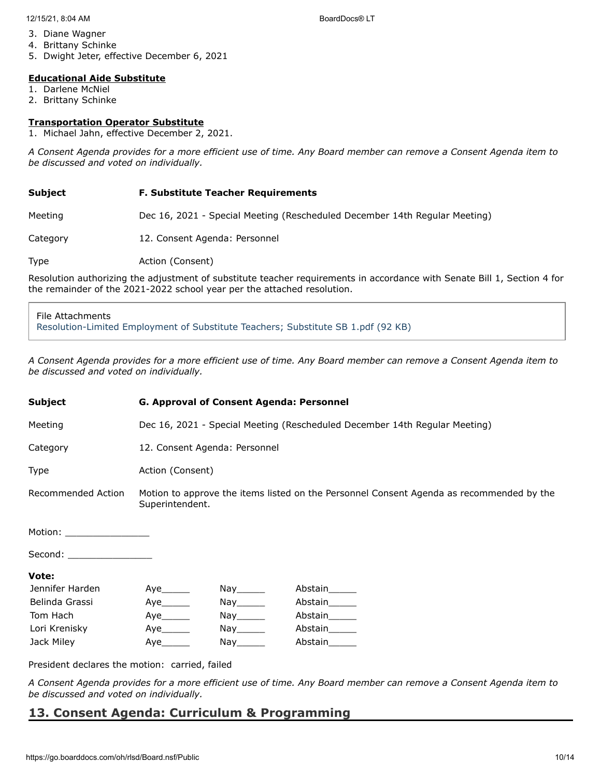- 3. Diane Wagner
- 4. Brittany Schinke
- 5. Dwight Jeter, effective December 6, 2021

#### **Educational Aide Substitute**

- 1. Darlene McNiel
- 2. Brittany Schinke

#### **Transportation Operator Substitute**

1. Michael Jahn, effective December 2, 2021.

*A Consent Agenda provides for a more efficient use of time. Any Board member can remove a Consent Agenda item to be discussed and voted on individually.*

#### **Subject F. Substitute Teacher Requirements**

Meeting Dec 16, 2021 - Special Meeting (Rescheduled December 14th Regular Meeting)

Category 12. Consent Agenda: Personnel

Type **Action** (Consent)

Resolution authorizing the adjustment of substitute teacher requirements in accordance with Senate Bill 1, Section 4 for the remainder of the 2021-2022 school year per the attached resolution.

## File Attachments [Resolution-Limited Employment of Substitute Teachers; Substitute SB 1.pdf \(92 KB\)](https://go.boarddocs.com/oh/rlsd/Board.nsf/files/C9KMAE5A02F2/$file/Resolution-Limited%20Employment%20of%20Substitute%20Teachers%3B%20Substitute%20SB%201.pdf)

*A Consent Agenda provides for a more efficient use of time. Any Board member can remove a Consent Agenda item to be discussed and voted on individually.*

| <b>Subject</b>              | <b>G. Approval of Consent Agenda: Personnel</b>                                                             |                                                                                                                |               |  |
|-----------------------------|-------------------------------------------------------------------------------------------------------------|----------------------------------------------------------------------------------------------------------------|---------------|--|
| Meeting                     | Dec 16, 2021 - Special Meeting (Rescheduled December 14th Regular Meeting)                                  |                                                                                                                |               |  |
| Category                    | 12. Consent Agenda: Personnel                                                                               |                                                                                                                |               |  |
| Type                        | Action (Consent)                                                                                            |                                                                                                                |               |  |
| Recommended Action          | Motion to approve the items listed on the Personnel Consent Agenda as recommended by the<br>Superintendent. |                                                                                                                |               |  |
| Motion: ___________________ |                                                                                                             |                                                                                                                |               |  |
| Second: _________________   |                                                                                                             |                                                                                                                |               |  |
| Vote:                       |                                                                                                             |                                                                                                                |               |  |
| Jennifer Harden             |                                                                                                             | Nay_______                                                                                                     | Abstain______ |  |
| Belinda Grassi              |                                                                                                             | Nay______                                                                                                      | Abstain_____  |  |
| Tom Hach                    | Aye_______                                                                                                  | Nay_______                                                                                                     | Abstain______ |  |
| Lori Krenisky               | Aye_______                                                                                                  | Nay_______                                                                                                     | Abstain______ |  |
| Jack Miley                  | Aye                                                                                                         | Nay the second the second second that the second second second the second second second second second second s | Abstain______ |  |

President declares the motion: carried, failed

*A Consent Agenda provides for a more efficient use of time. Any Board member can remove a Consent Agenda item to be discussed and voted on individually.*

## **13. Consent Agenda: Curriculum & Programming**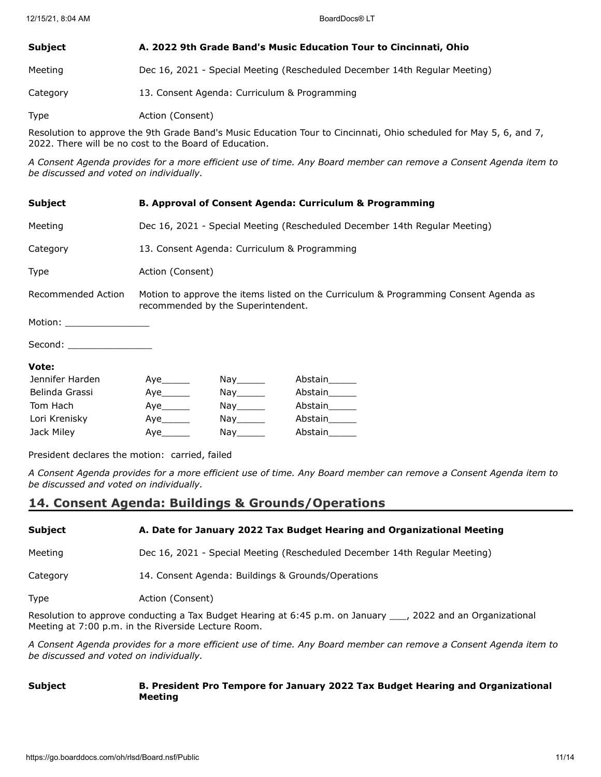## **Subject A. 2022 9th Grade Band's Music Education Tour to Cincinnati, Ohio**

Meeting Dec 16, 2021 - Special Meeting (Rescheduled December 14th Regular Meeting)

Category 13. Consent Agenda: Curriculum & Programming

Type **Action** (Consent)

Resolution to approve the 9th Grade Band's Music Education Tour to Cincinnati, Ohio scheduled for May 5, 6, and 7, 2022. There will be no cost to the Board of Education.

*A Consent Agenda provides for a more efficient use of time. Any Board member can remove a Consent Agenda item to be discussed and voted on individually.*

| <b>Subject</b>             | <b>B. Approval of Consent Agenda: Curriculum &amp; Programming</b>                                                         |                                                                                                                |               |  |
|----------------------------|----------------------------------------------------------------------------------------------------------------------------|----------------------------------------------------------------------------------------------------------------|---------------|--|
| Meeting                    | Dec 16, 2021 - Special Meeting (Rescheduled December 14th Regular Meeting)                                                 |                                                                                                                |               |  |
| Category                   | 13. Consent Agenda: Curriculum & Programming                                                                               |                                                                                                                |               |  |
| <b>Type</b>                | Action (Consent)                                                                                                           |                                                                                                                |               |  |
| Recommended Action         | Motion to approve the items listed on the Curriculum & Programming Consent Agenda as<br>recommended by the Superintendent. |                                                                                                                |               |  |
| Motion: __________________ |                                                                                                                            |                                                                                                                |               |  |
| Second: __________________ |                                                                                                                            |                                                                                                                |               |  |
| Vote:                      |                                                                                                                            |                                                                                                                |               |  |
| Jennifer Harden            | Aye                                                                                                                        | Nay_______                                                                                                     | Abstain______ |  |
| Belinda Grassi             |                                                                                                                            | $\mathsf{Nay} \_\_\_\_\_\$                                                                                     | Abstain______ |  |
| Tom Hach                   | Aye                                                                                                                        | Nay______                                                                                                      | Abstain______ |  |
| Lori Krenisky              | Aye                                                                                                                        | Nay______                                                                                                      | Abstain______ |  |
| Jack Miley                 | Aye                                                                                                                        | Nay the second the second second that the second second second the second second second second second second s | Abstain       |  |

President declares the motion: carried, failed

*A Consent Agenda provides for a more efficient use of time. Any Board member can remove a Consent Agenda item to be discussed and voted on individually.*

# **14. Consent Agenda: Buildings & Grounds/Operations**

| <b>SUDJECL</b> | A. Date for January 2022 Tax budget nearing and Organizational Meeting     |
|----------------|----------------------------------------------------------------------------|
| Meeting        | Dec 16, 2021 - Special Meeting (Rescheduled December 14th Regular Meeting) |

**Subject A. Date for January 2022 Tax Budget Hearing and Organizational Meeting**

Category 14. Consent Agenda: Buildings & Grounds/Operations

Type **Action** (Consent)

Resolution to approve conducting a Tax Budget Hearing at 6:45 p.m. on January \_\_\_, 2022 and an Organizational Meeting at 7:00 p.m. in the Riverside Lecture Room.

*A Consent Agenda provides for a more efficient use of time. Any Board member can remove a Consent Agenda item to be discussed and voted on individually.*

#### **Subject B. President Pro Tempore for January 2022 Tax Budget Hearing and Organizational Meeting**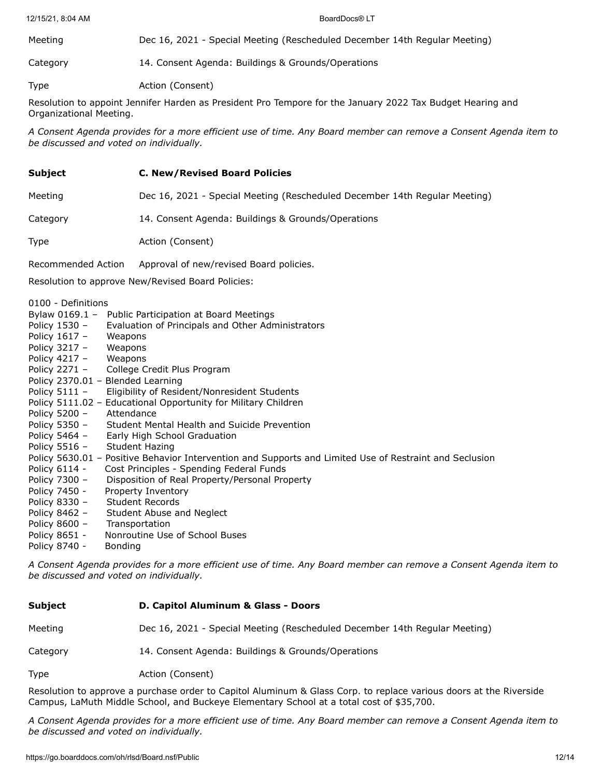Meeting Dec 16, 2021 - Special Meeting (Rescheduled December 14th Regular Meeting) Category 14. Consent Agenda: Buildings & Grounds/Operations

Type **Action** (Consent)

Resolution to appoint Jennifer Harden as President Pro Tempore for the January 2022 Tax Budget Hearing and Organizational Meeting.

*A Consent Agenda provides for a more efficient use of time. Any Board member can remove a Consent Agenda item to be discussed and voted on individually.*

#### **Subject C. New/Revised Board Policies**

Meeting Dec 16, 2021 - Special Meeting (Rescheduled December 14th Regular Meeting)

Category 14. Consent Agenda: Buildings & Grounds/Operations

Type **Action** (Consent)

Recommended Action Approval of new/revised Board policies.

Resolution to approve New/Revised Board Policies:

0100 - Definitions

|                              | Bylaw 0169.1 - Public Participation at Board Meetings                                                   |
|------------------------------|---------------------------------------------------------------------------------------------------------|
| Policy 1530 -                | Evaluation of Principals and Other Administrators                                                       |
| Policy $1617 -$              | Weapons                                                                                                 |
| Policy $3217 - W$ eapons     |                                                                                                         |
| Policy $4217 - W$ eapons     |                                                                                                         |
|                              | Policy 2271 - College Credit Plus Program                                                               |
|                              | Policy 2370.01 - Blended Learning                                                                       |
| Policy 5111 -                | Eligibility of Resident/Nonresident Students                                                            |
|                              | Policy 5111.02 - Educational Opportunity for Military Children                                          |
| Policy 5200 - Attendance     |                                                                                                         |
|                              | Policy 5350 - Student Mental Health and Suicide Prevention                                              |
|                              | Policy 5464 - Early High School Graduation                                                              |
| Policy 5516 - Student Hazing |                                                                                                         |
|                              | Policy 5630.01 – Positive Behavior Intervention and Supports and Limited Use of Restraint and Seclusion |
| Policy 6114 -                | Cost Principles - Spending Federal Funds                                                                |
| Policy 7300 -                | Disposition of Real Property/Personal Property                                                          |
| Policy 7450 -                | Property Inventory                                                                                      |
| Policy 8330 -                | Student Records                                                                                         |
| Policy 8462 -                | Student Abuse and Neglect                                                                               |
| Policy 8600 -                | Transportation                                                                                          |
| Policy 8651 -                | Nonroutine Use of School Buses                                                                          |
| Policy 8740 -                | <b>Bonding</b>                                                                                          |

*A Consent Agenda provides for a more efficient use of time. Any Board member can remove a Consent Agenda item to be discussed and voted on individually.*

| <b>Subject</b> | D. Capitol Aluminum & Glass - Doors                                        |  |  |
|----------------|----------------------------------------------------------------------------|--|--|
| Meeting        | Dec 16, 2021 - Special Meeting (Rescheduled December 14th Regular Meeting) |  |  |
| Category       | 14. Consent Agenda: Buildings & Grounds/Operations                         |  |  |
| <b>Type</b>    | Action (Consent)                                                           |  |  |

Resolution to approve a purchase order to Capitol Aluminum & Glass Corp. to replace various doors at the Riverside Campus, LaMuth Middle School, and Buckeye Elementary School at a total cost of \$35,700.

*A Consent Agenda provides for a more efficient use of time. Any Board member can remove a Consent Agenda item to be discussed and voted on individually.*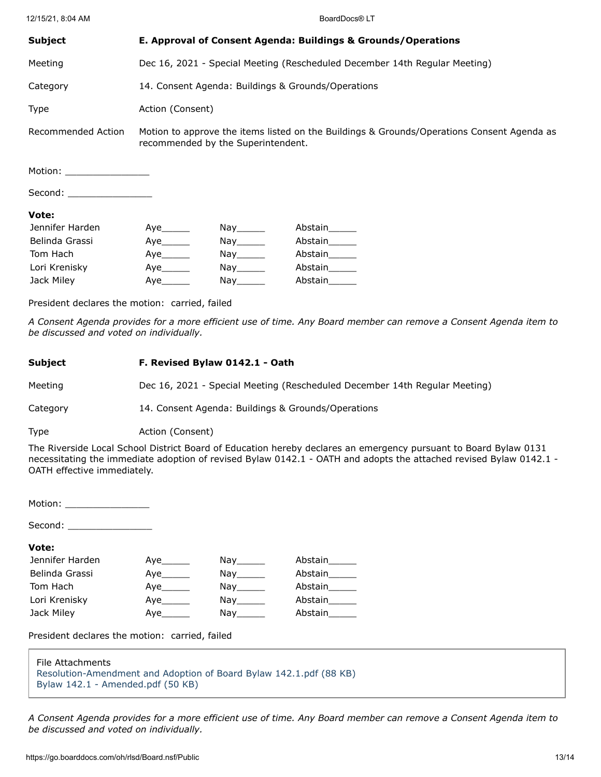12/15/21, 8:04 AM BoardDocs® LT

| <b>Subject</b>             | E. Approval of Consent Agenda: Buildings & Grounds/Operations                                                                    |            |               |  |
|----------------------------|----------------------------------------------------------------------------------------------------------------------------------|------------|---------------|--|
| Meeting                    | Dec 16, 2021 - Special Meeting (Rescheduled December 14th Regular Meeting)                                                       |            |               |  |
| Category                   | 14. Consent Agenda: Buildings & Grounds/Operations                                                                               |            |               |  |
| <b>Type</b>                | Action (Consent)                                                                                                                 |            |               |  |
| Recommended Action         | Motion to approve the items listed on the Buildings & Grounds/Operations Consent Agenda as<br>recommended by the Superintendent. |            |               |  |
| Motion: __________________ |                                                                                                                                  |            |               |  |
| Second:                    |                                                                                                                                  |            |               |  |
| Vote:                      |                                                                                                                                  |            |               |  |
| Jennifer Harden            | Aye $\rule{1em}{0.15mm}$                                                                                                         | Nay_______ | Abstain______ |  |
| Belinda Grassi             | Aye_______                                                                                                                       |            | Abstain______ |  |
| Tom Hach                   | Aye_______                                                                                                                       | Nay_______ | Abstain______ |  |
| Lori Krenisky              | Aye_______                                                                                                                       | Nay_______ | Abstain______ |  |
| Jack Miley                 | Aye                                                                                                                              |            | Abstain______ |  |

President declares the motion: carried, failed

*A Consent Agenda provides for a more efficient use of time. Any Board member can remove a Consent Agenda item to be discussed and voted on individually.*

#### **Subject F. Revised Bylaw 0142.1 - Oath**

Meeting Dec 16, 2021 - Special Meeting (Rescheduled December 14th Regular Meeting)

Category 14. Consent Agenda: Buildings & Grounds/Operations

Type **Action** (Consent)

The Riverside Local School District Board of Education hereby declares an emergency pursuant to Board Bylaw 0131 necessitating the immediate adoption of revised Bylaw 0142.1 - OATH and adopts the attached revised Bylaw 0142.1 - OATH effective immediately.

Motion: \_\_\_\_\_\_\_\_\_\_\_\_\_\_\_

Second:  $\Box$ 

#### **Vote:**

| Jennifer Harden | Aye       | Nav i stra                                                                                                                    | Abstain       |
|-----------------|-----------|-------------------------------------------------------------------------------------------------------------------------------|---------------|
| Belinda Grassi  |           | Nay_______                                                                                                                    | Abstain______ |
| Tom Hach        | Aye       | Nay the second the second second that the second second second the second second second second second second s                | Abstain       |
| Lori Krenisky   | Aye______ | Nay the second the second term in the second second term in the second second term in the second second term in $\mathcal{L}$ | Abstain       |
| Jack Miley      | Aye       | Nay the second the second second that the second second second the second second second second second second s                | Abstain       |

President declares the motion: carried, failed

| File Attachments                                                   |
|--------------------------------------------------------------------|
| Resolution-Amendment and Adoption of Board Bylaw 142.1.pdf (88 KB) |
| Bylaw 142.1 - Amended.pdf (50 KB)                                  |

*A Consent Agenda provides for a more efficient use of time. Any Board member can remove a Consent Agenda item to be discussed and voted on individually.*